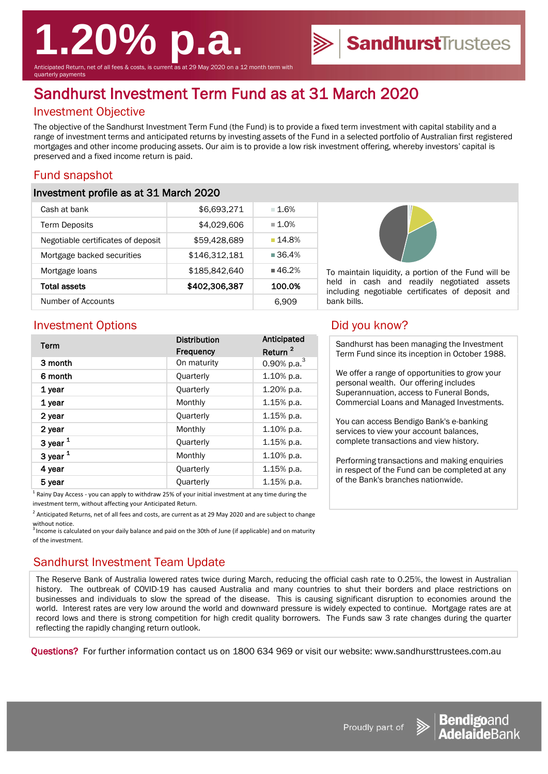# **1.20% p.a.**

Anticipated Return, net of all fees & costs, is current as at 29 May 2020 on a 12 month term with quarterly payments

## Sandhurst Investment Term Fund as at 31 March 2020

### Investment Objective

The objective of the Sandhurst Investment Term Fund (the Fund) is to provide a fixed term investment with capital stability and a range of investment terms and anticipated returns by investing assets of the Fund in a selected portfolio of Australian first registered mortgages and other income producing assets. Our aim is to provide a low risk investment offering, whereby investors' capital is preserved and a fixed income return is paid.

#### Fund snapshot

#### Investment profile as at 31 March 2020

| Cash at bank                       | \$6,693,271   | $-1.6%$              |
|------------------------------------|---------------|----------------------|
| <b>Term Deposits</b>               | \$4,029,606   | $\blacksquare$ 1.0%  |
| Negotiable certificates of deposit | \$59,428,689  | ■ 14.8%              |
| Mortgage backed securities         | \$146,312,181 | $\blacksquare$ 36.4% |
| Mortgage loans                     | \$185,842,640 | ■46.2%               |
| Total assets                       | \$402,306,387 | 100.0%               |
| Number of Accounts                 |               | 6.909                |



To maintain liquidity, a portion of the Fund will be held in cash and readily negotiated assets including negotiable certificates of deposit and bank bills.

SandhurstTrustees

#### Investment Options **Did you know?**

| Term       | <b>Distribution</b> | Anticipated         |
|------------|---------------------|---------------------|
|            | <b>Frequency</b>    | Return <sup>2</sup> |
| 3 month    | On maturity         | 0.90% p.a. $3$      |
| 6 month    | Quarterly           | 1.10% p.a.          |
| 1 year     | Quarterly           | 1.20% p.a.          |
| 1 year     | Monthly             | 1.15% p.a.          |
| 2 year     | Quarterly           | 1.15% p.a.          |
| 2 year     | Monthly             | $1.10\%$ p.a.       |
| 3 year $1$ | Quarterly           | 1.15% p.a.          |
| 3 year $1$ | Monthly             | 1.10% p.a.          |
| 4 year     | Quarterly           | 1.15% p.a.          |
| 5 year     | Quarterly           | $1.15%$ p.a.        |
|            |                     |                     |

 $^1$  Rainy Day Access - you can apply to withdraw 25% of your initial investment at any time during the investment term, without affecting your Anticipated Return.

 $^2$  Anticipated Returns, net of all fees and costs, are current as at 29 May 2020 and are subject to change without notice.

 $^3$  Income is calculated on your daily balance and paid on the 30th of June (if applicable) and on maturity of the investment.

#### Sandhurst Investment Team Update

The Reserve Bank of Australia lowered rates twice during March, reducing the official cash rate to 0.25%, the lowest in Australian history. The outbreak of COVID-19 has caused Australia and many countries to shut their borders and place restrictions on businesses and individuals to slow the spread of the disease. This is causing significant disruption to economies around the world. Interest rates are very low around the world and downward pressure is widely expected to continue. Mortgage rates are at record lows and there is strong competition for high credit quality borrowers. The Funds saw 3 rate changes during the quarter reflecting the rapidly changing return outlook.

Questions? For further information contact us on 1800 634 969 or visit our website: www.sandhursttrustees.com.au

| Sandhurst has been managing the Investment     |
|------------------------------------------------|
| Term Fund since its inception in October 1988. |

We offer a range of opportunities to grow your personal wealth. Our offering includes Superannuation, access to Funeral Bonds, Commercial Loans and Managed Investments.

You can access Bendigo Bank's e-banking services to view your account balances, complete transactions and view history.

Performing transactions and making enquiries in respect of the Fund can be completed at any of the Bank's branches nationwide.